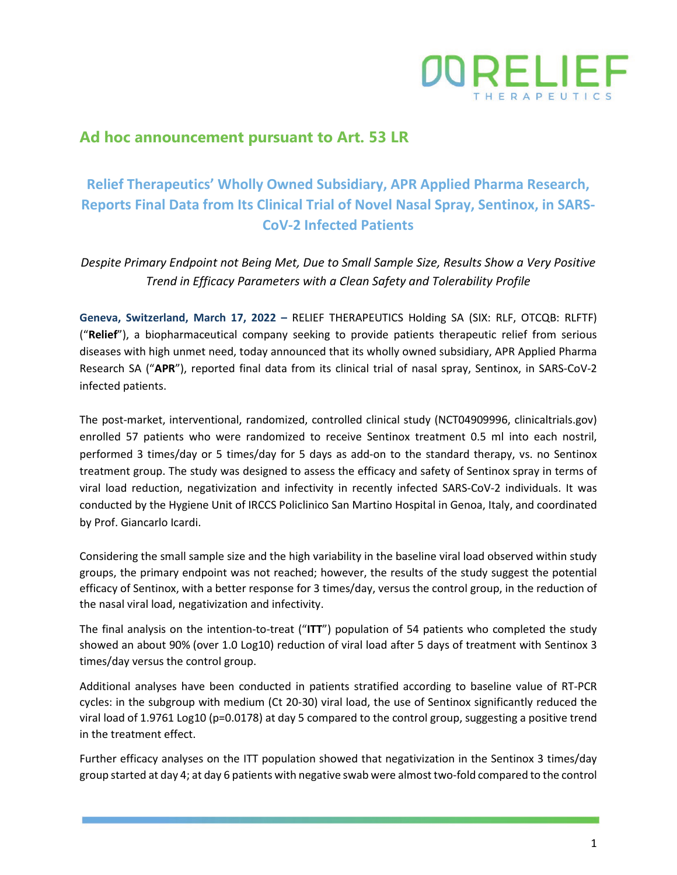

### **Ad hoc announcement pursuant to Art. 53 LR**

# **Relief Therapeutics' Wholly Owned Subsidiary, APR Applied Pharma Research, Reports Final Data from Its Clinical Trial of Novel Nasal Spray, Sentinox, in SARS-CoV-2 Infected Patients**

*Despite Primary Endpoint not Being Met, Due to Small Sample Size, Results Show a Very Positive Trend in Efficacy Parameters with a Clean Safety and Tolerability Profile* 

**Geneva, Switzerland, March 17, 2022 –** RELIEF THERAPEUTICS Holding SA (SIX: RLF, OTCQB: RLFTF) ("**Relief**"), a biopharmaceutical company seeking to provide patients therapeutic relief from serious diseases with high unmet need, today announced that its wholly owned subsidiary, APR Applied Pharma Research SA ("**APR**"), reported final data from its clinical trial of nasal spray, Sentinox, in SARS-CoV-2 infected patients.

The post-market, interventional, randomized, controlled clinical study (NCT04909996, clinicaltrials.gov) enrolled 57 patients who were randomized to receive Sentinox treatment 0.5 ml into each nostril, performed 3 times/day or 5 times/day for 5 days as add-on to the standard therapy, vs. no Sentinox treatment group. The study was designed to assess the efficacy and safety of Sentinox spray in terms of viral load reduction, negativization and infectivity in recently infected SARS-CoV-2 individuals. It was conducted by the Hygiene Unit of IRCCS Policlinico San Martino Hospital in Genoa, Italy, and coordinated by Prof. Giancarlo Icardi.

Considering the small sample size and the high variability in the baseline viral load observed within study groups, the primary endpoint was not reached; however, the results of the study suggest the potential efficacy of Sentinox, with a better response for 3 times/day, versus the control group, in the reduction of the nasal viral load, negativization and infectivity.

The final analysis on the intention-to-treat ("**ITT**") population of 54 patients who completed the study showed an about 90% (over 1.0 Log10) reduction of viral load after 5 days of treatment with Sentinox 3 times/day versus the control group.

Additional analyses have been conducted in patients stratified according to baseline value of RT-PCR cycles: in the subgroup with medium (Ct 20-30) viral load, the use of Sentinox significantly reduced the viral load of 1.9761 Log10 (p=0.0178) at day 5 compared to the control group, suggesting a positive trend in the treatment effect.

Further efficacy analyses on the ITT population showed that negativization in the Sentinox 3 times/day group started at day 4; at day 6 patients with negative swab were almost two-fold compared to the control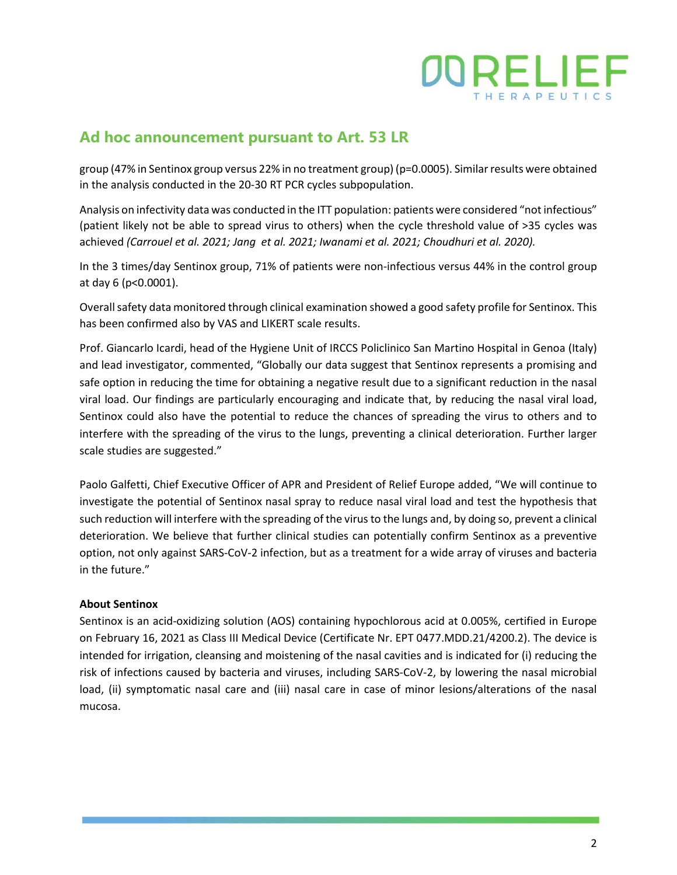

## **Ad hoc announcement pursuant to Art. 53 LR**

group (47% in Sentinox group versus 22% in no treatment group) (p=0.0005). Similar results were obtained in the analysis conducted in the 20-30 RT PCR cycles subpopulation.

Analysis on infectivity data was conducted in the ITT population: patients were considered "not infectious" (patient likely not be able to spread virus to others) when the cycle threshold value of >35 cycles was achieved *(Carrouel et al. 2021; Jang et al. 2021; Iwanami et al. 2021; Choudhuri et al. 2020).*

In the 3 times/day Sentinox group, 71% of patients were non-infectious versus 44% in the control group at day 6 (p<0.0001).

Overall safety data monitored through clinical examination showed a good safety profile for Sentinox. This has been confirmed also by VAS and LIKERT scale results.

Prof. Giancarlo Icardi, head of the Hygiene Unit of IRCCS Policlinico San Martino Hospital in Genoa (Italy) and lead investigator, commented, "Globally our data suggest that Sentinox represents a promising and safe option in reducing the time for obtaining a negative result due to a significant reduction in the nasal viral load. Our findings are particularly encouraging and indicate that, by reducing the nasal viral load, Sentinox could also have the potential to reduce the chances of spreading the virus to others and to interfere with the spreading of the virus to the lungs, preventing a clinical deterioration. Further larger scale studies are suggested."

Paolo Galfetti, Chief Executive Officer of APR and President of Relief Europe added, "We will continue to investigate the potential of Sentinox nasal spray to reduce nasal viral load and test the hypothesis that such reduction will interfere with the spreading of the virus to the lungs and, by doing so, prevent a clinical deterioration. We believe that further clinical studies can potentially confirm Sentinox as a preventive option, not only against SARS-CoV-2 infection, but as a treatment for a wide array of viruses and bacteria in the future."

#### **About Sentinox**

Sentinox is an acid-oxidizing solution (AOS) containing hypochlorous acid at 0.005%, certified in Europe on February 16, 2021 as Class III Medical Device (Certificate Nr. EPT 0477.MDD.21/4200.2). The device is intended for irrigation, cleansing and moistening of the nasal cavities and is indicated for (i) reducing the risk of infections caused by bacteria and viruses, including SARS-CoV-2, by lowering the nasal microbial load, (ii) symptomatic nasal care and (iii) nasal care in case of minor lesions/alterations of the nasal mucosa.